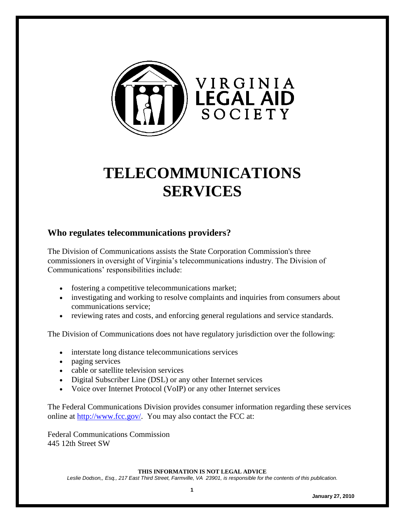

# **TELECOMMUNICATIONS SERVICES**

#### **Who regulates telecommunications providers?**

The Division of Communications assists the State Corporation Commission's three commissioners in oversight of Virginia's telecommunications industry. The Division of Communications' responsibilities include:

- fostering a competitive telecommunications market;
- investigating and working to resolve complaints and inquiries from consumers about communications service;
- reviewing rates and costs, and enforcing general regulations and service standards.

The Division of Communications does not have regulatory jurisdiction over the following:

- interstate long distance telecommunications services
- paging services
- cable or satellite television services
- Digital Subscriber Line (DSL) or any other Internet services
- Voice over Internet Protocol (VoIP) or any other Internet services

The Federal Communications Division provides consumer information regarding these services online at [http://www.fcc.gov/.](http://www.fcc.gov/) You may also contact the FCC at:

Federal Communications Commission 445 12th Street SW

**THIS INFORMATION IS NOT LEGAL ADVICE**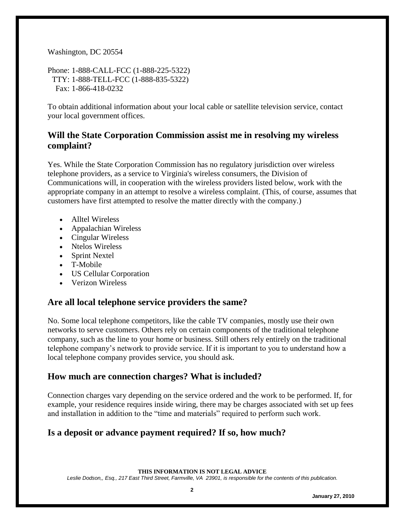#### Washington, DC 20554

Phone: 1-888-CALL-FCC (1-888-225-5322) TTY: 1-888-TELL-FCC (1-888-835-5322) Fax: 1-866-418-0232

To obtain additional information about your local cable or satellite television service, contact your local government offices.

#### **Will the State Corporation Commission assist me in resolving my wireless complaint?**

Yes. While the State Corporation Commission has no regulatory jurisdiction over wireless telephone providers, as a service to Virginia's wireless consumers, the Division of Communications will, in cooperation with the wireless providers listed below, work with the appropriate company in an attempt to resolve a wireless complaint. (This, of course, assumes that customers have first attempted to resolve the matter directly with the company.)

- Alltel Wireless
- Appalachian Wireless
- Cingular Wireless
- Ntelos Wireless
- Sprint Nextel
- T-Mobile
- US Cellular Corporation
- Verizon Wireless

#### **Are all local telephone service providers the same?**

No. Some local telephone competitors, like the cable TV companies, mostly use their own networks to serve customers. Others rely on certain components of the traditional telephone company, such as the line to your home or business. Still others rely entirely on the traditional telephone company's network to provide service. If it is important to you to understand how a local telephone company provides service, you should ask.

#### **How much are connection charges? What is included?**

Connection charges vary depending on the service ordered and the work to be performed. If, for example, your residence requires inside wiring, there may be charges associated with set up fees and installation in addition to the "time and materials" required to perform such work.

# **Is a deposit or advance payment required? If so, how much?**

**THIS INFORMATION IS NOT LEGAL ADVICE**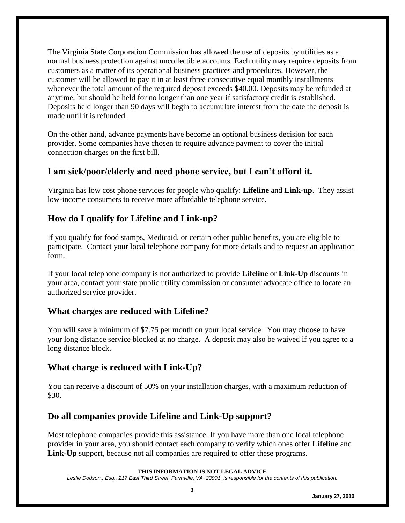The Virginia State Corporation Commission has allowed the use of deposits by utilities as a normal business protection against uncollectible accounts. Each utility may require deposits from customers as a matter of its operational business practices and procedures. However, the customer will be allowed to pay it in at least three consecutive equal monthly installments whenever the total amount of the required deposit exceeds \$40.00. Deposits may be refunded at anytime, but should be held for no longer than one year if satisfactory credit is established. Deposits held longer than 90 days will begin to accumulate interest from the date the deposit is made until it is refunded.

On the other hand, advance payments have become an optional business decision for each provider. Some companies have chosen to require advance payment to cover the initial connection charges on the first bill.

# **I am sick/poor/elderly and need phone service, but I can't afford it.**

Virginia has low cost phone services for people who qualify: **Lifeline** and **Link-up**. They assist low-income consumers to receive more affordable telephone service.

# **How do I qualify for Lifeline and Link-up?**

If you qualify for food stamps, Medicaid, or certain other public benefits, you are eligible to participate. Contact your local telephone company for more details and to request an application form.

If your local telephone company is not authorized to provide **Lifeline** or **Link-Up** discounts in your area, contact your state public utility commission or consumer advocate office to locate an authorized service provider.

#### **What charges are reduced with Lifeline?**

You will save a minimum of \$7.75 per month on your local service. You may choose to have your long distance service blocked at no charge. A deposit may also be waived if you agree to a long distance block.

# **What charge is reduced with Link-Up?**

You can receive a discount of 50% on your installation charges, with a maximum reduction of \$30.

#### **Do all companies provide Lifeline and Link-Up support?**

Most telephone companies provide this assistance. If you have more than one local telephone provider in your area, you should contact each company to verify which ones offer **Lifeline** and **Link-Up** support, because not all companies are required to offer these programs.

**THIS INFORMATION IS NOT LEGAL ADVICE**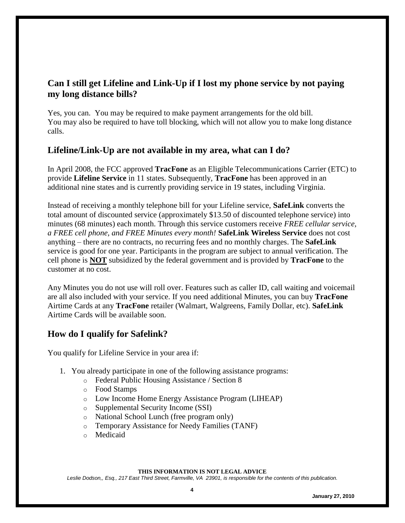## **Can I still get Lifeline and Link-Up if I lost my phone service by not paying my long distance bills?**

Yes, you can. You may be required to make payment arrangements for the old bill. You may also be required to have toll blocking, which will not allow you to make long distance calls.

#### **Lifeline/Link-Up are not available in my area, what can I do?**

In April 2008, the FCC approved **TracFone** as an Eligible Telecommunications Carrier (ETC) to provide **Lifeline Service** in 11 states. Subsequently, **TracFone** has been approved in an additional nine states and is currently providing service in 19 states, including Virginia.

Instead of receiving a monthly telephone bill for your Lifeline service, **SafeLink** converts the total amount of discounted service (approximately \$13.50 of discounted telephone service) into minutes (68 minutes) each month. Through this service customers receive *FREE cellular service, a FREE cell phone, and FREE Minutes every month!* **SafeLink Wireless Service** does not cost anything – there are no contracts, no recurring fees and no monthly charges. The **SafeLink** service is good for one year. Participants in the program are subject to annual verification. The cell phone is **NOT** subsidized by the federal government and is provided by **TracFone** to the customer at no cost.

Any Minutes you do not use will roll over. Features such as caller ID, call waiting and voicemail are all also included with your service. If you need additional Minutes, you can buy **TracFone** Airtime Cards at any **TracFone** retailer (Walmart, Walgreens, Family Dollar, etc). **SafeLink** Airtime Cards will be available soon.

# **How do I qualify for Safelink?**

You qualify for Lifeline Service in your area if:

- 1. You already participate in one of the following assistance programs:
	- o Federal Public Housing Assistance / Section 8
	- o Food Stamps
	- o Low Income Home Energy Assistance Program (LIHEAP)
	- o Supplemental Security Income (SSI)
	- o National School Lunch (free program only)
	- o Temporary Assistance for Needy Families (TANF)
	- o Medicaid

#### **THIS INFORMATION IS NOT LEGAL ADVICE**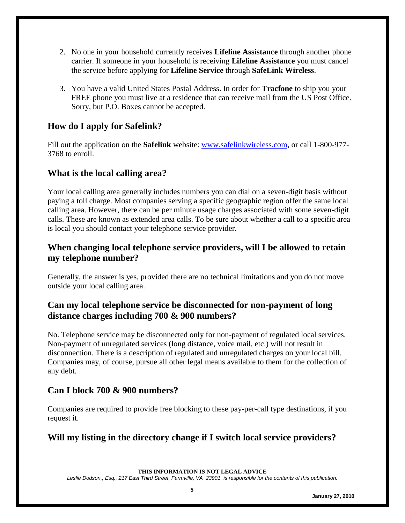- 2. No one in your household currently receives **Lifeline Assistance** through another phone carrier. If someone in your household is receiving **Lifeline Assistance** you must cancel the service before applying for **Lifeline Service** through **SafeLink Wireless**.
- 3. You have a valid United States Postal Address. In order for **Tracfone** to ship you your FREE phone you must live at a residence that can receive mail from the US Post Office. Sorry, but P.O. Boxes cannot be accepted.

# **How do I apply for Safelink?**

Fill out the application on the **Safelink** website: [www.safelinkwireless.com,](http://www.safelinkwireless.com/) or call 1-800-977- 3768 to enroll.

#### **What is the local calling area?**

Your local calling area generally includes numbers you can dial on a seven-digit basis without paying a toll charge. Most companies serving a specific geographic region offer the same local calling area. However, there can be per minute usage charges associated with some seven-digit calls. These are known as extended area calls. To be sure about whether a call to a specific area is local you should contact your telephone service provider.

#### **When changing local telephone service providers, will I be allowed to retain my telephone number?**

Generally, the answer is yes, provided there are no technical limitations and you do not move outside your local calling area.

# **Can my local telephone service be disconnected for non-payment of long distance charges including 700 & 900 numbers?**

No. Telephone service may be disconnected only for non-payment of regulated local services. Non-payment of unregulated services (long distance, voice mail, etc.) will not result in disconnection. There is a description of regulated and unregulated charges on your local bill. Companies may, of course, pursue all other legal means available to them for the collection of any debt.

# **Can I block 700 & 900 numbers?**

Companies are required to provide free blocking to these pay-per-call type destinations, if you request it.

# **Will my listing in the directory change if I switch local service providers?**

**THIS INFORMATION IS NOT LEGAL ADVICE**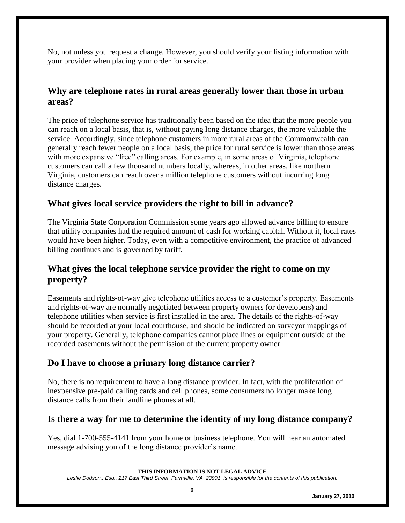No, not unless you request a change. However, you should verify your listing information with your provider when placing your order for service.

#### **Why are telephone rates in rural areas generally lower than those in urban areas?**

The price of telephone service has traditionally been based on the idea that the more people you can reach on a local basis, that is, without paying long distance charges, the more valuable the service. Accordingly, since telephone customers in more rural areas of the Commonwealth can generally reach fewer people on a local basis, the price for rural service is lower than those areas with more expansive "free" calling areas. For example, in some areas of Virginia, telephone customers can call a few thousand numbers locally, whereas, in other areas, like northern Virginia, customers can reach over a million telephone customers without incurring long distance charges.

#### **What gives local service providers the right to bill in advance?**

The Virginia State Corporation Commission some years ago allowed advance billing to ensure that utility companies had the required amount of cash for working capital. Without it, local rates would have been higher. Today, even with a competitive environment, the practice of advanced billing continues and is governed by tariff.

#### **What gives the local telephone service provider the right to come on my property?**

Easements and rights-of-way give telephone utilities access to a customer's property. Easements and rights-of-way are normally negotiated between property owners (or developers) and telephone utilities when service is first installed in the area. The details of the rights-of-way should be recorded at your local courthouse, and should be indicated on surveyor mappings of your property. Generally, telephone companies cannot place lines or equipment outside of the recorded easements without the permission of the current property owner.

#### **Do I have to choose a primary long distance carrier?**

No, there is no requirement to have a long distance provider. In fact, with the proliferation of inexpensive pre-paid calling cards and cell phones, some consumers no longer make long distance calls from their landline phones at all.

# **Is there a way for me to determine the identity of my long distance company?**

Yes, dial 1-700-555-4141 from your home or business telephone. You will hear an automated message advising you of the long distance provider's name.

#### **THIS INFORMATION IS NOT LEGAL ADVICE**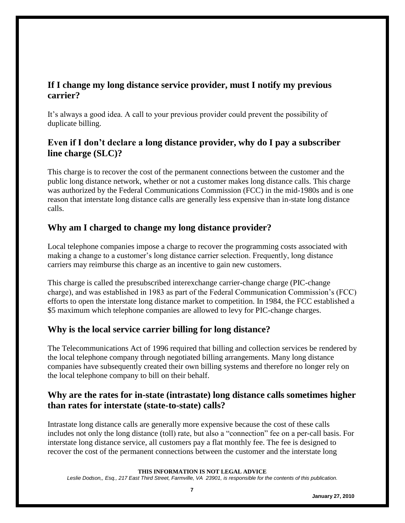#### **If I change my long distance service provider, must I notify my previous carrier?**

It's always a good idea. A call to your previous provider could prevent the possibility of duplicate billing.

# **Even if I don't declare a long distance provider, why do I pay a subscriber line charge (SLC)?**

This charge is to recover the cost of the permanent connections between the customer and the public long distance network, whether or not a customer makes long distance calls. This charge was authorized by the Federal Communications Commission (FCC) in the mid-1980s and is one reason that interstate long distance calls are generally less expensive than in-state long distance calls.

# **Why am I charged to change my long distance provider?**

Local telephone companies impose a charge to recover the programming costs associated with making a change to a customer's long distance carrier selection. Frequently, long distance carriers may reimburse this charge as an incentive to gain new customers.

This charge is called the presubscribed interexchange carrier-change charge (PIC-change charge), and was established in 1983 as part of the Federal Communication Commission's (FCC) efforts to open the interstate long distance market to competition. In 1984, the FCC established a \$5 maximum which telephone companies are allowed to levy for PIC-change charges.

#### **Why is the local service carrier billing for long distance?**

The Telecommunications Act of 1996 required that billing and collection services be rendered by the local telephone company through negotiated billing arrangements. Many long distance companies have subsequently created their own billing systems and therefore no longer rely on the local telephone company to bill on their behalf.

# **Why are the rates for in-state (intrastate) long distance calls sometimes higher than rates for interstate (state-to-state) calls?**

Intrastate long distance calls are generally more expensive because the cost of these calls includes not only the long distance (toll) rate, but also a "connection" fee on a per-call basis. For interstate long distance service, all customers pay a flat monthly fee. The fee is designed to recover the cost of the permanent connections between the customer and the interstate long

**THIS INFORMATION IS NOT LEGAL ADVICE**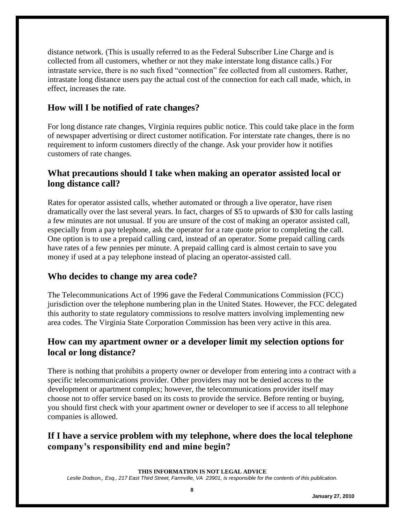distance network. (This is usually referred to as the Federal Subscriber Line Charge and is collected from all customers, whether or not they make interstate long distance calls.) For intrastate service, there is no such fixed "connection" fee collected from all customers. Rather, intrastate long distance users pay the actual cost of the connection for each call made, which, in effect, increases the rate.

#### **How will I be notified of rate changes?**

For long distance rate changes, Virginia requires public notice. This could take place in the form of newspaper advertising or direct customer notification. For interstate rate changes, there is no requirement to inform customers directly of the change. Ask your provider how it notifies customers of rate changes.

#### **What precautions should I take when making an operator assisted local or long distance call?**

Rates for operator assisted calls, whether automated or through a live operator, have risen dramatically over the last several years. In fact, charges of \$5 to upwards of \$30 for calls lasting a few minutes are not unusual. If you are unsure of the cost of making an operator assisted call, especially from a pay telephone, ask the operator for a rate quote prior to completing the call. One option is to use a prepaid calling card, instead of an operator. Some prepaid calling cards have rates of a few pennies per minute. A prepaid calling card is almost certain to save you money if used at a pay telephone instead of placing an operator-assisted call.

#### **Who decides to change my area code?**

The Telecommunications Act of 1996 gave the Federal Communications Commission (FCC) jurisdiction over the telephone numbering plan in the United States. However, the FCC delegated this authority to state regulatory commissions to resolve matters involving implementing new area codes. The Virginia State Corporation Commission has been very active in this area.

#### **How can my apartment owner or a developer limit my selection options for local or long distance?**

There is nothing that prohibits a property owner or developer from entering into a contract with a specific telecommunications provider. Other providers may not be denied access to the development or apartment complex; however, the telecommunications provider itself may choose not to offer service based on its costs to provide the service. Before renting or buying, you should first check with your apartment owner or developer to see if access to all telephone companies is allowed.

# **If I have a service problem with my telephone, where does the local telephone company's responsibility end and mine begin?**

**THIS INFORMATION IS NOT LEGAL ADVICE**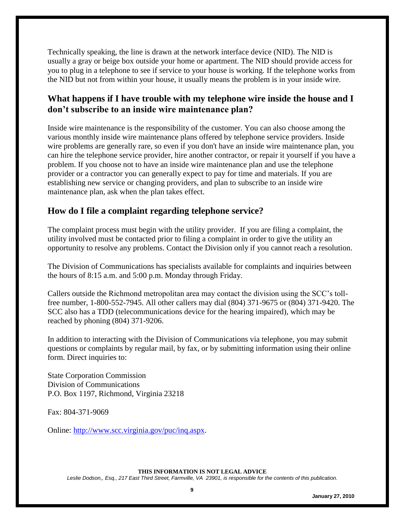Technically speaking, the line is drawn at the network interface device (NID). The NID is usually a gray or beige box outside your home or apartment. The NID should provide access for you to plug in a telephone to see if service to your house is working. If the telephone works from the NID but not from within your house, it usually means the problem is in your inside wire.

# **What happens if I have trouble with my telephone wire inside the house and I don't subscribe to an inside wire maintenance plan?**

Inside wire maintenance is the responsibility of the customer. You can also choose among the various monthly inside wire maintenance plans offered by telephone service providers. Inside wire problems are generally rare, so even if you don't have an inside wire maintenance plan, you can hire the telephone service provider, hire another contractor, or repair it yourself if you have a problem. If you choose not to have an inside wire maintenance plan and use the telephone provider or a contractor you can generally expect to pay for time and materials. If you are establishing new service or changing providers, and plan to subscribe to an inside wire maintenance plan, ask when the plan takes effect.

#### **How do I file a complaint regarding telephone service?**

The complaint process must begin with the utility provider. If you are filing a complaint, the utility involved must be contacted prior to filing a complaint in order to give the utility an opportunity to resolve any problems. Contact the Division only if you cannot reach a resolution.

The Division of Communications has specialists available for complaints and inquiries between the hours of 8:15 a.m. and 5:00 p.m. Monday through Friday.

Callers outside the Richmond metropolitan area may contact the division using the SCC's tollfree number, 1-800-552-7945. All other callers may dial (804) 371-9675 or (804) 371-9420. The SCC also has a TDD (telecommunications device for the hearing impaired), which may be reached by phoning (804) 371-9206.

In addition to interacting with the Division of Communications via telephone, you may submit questions or complaints by regular mail, by fax, or by submitting information using their online form. Direct inquiries to:

State Corporation Commission Division of Communications P.O. Box 1197, Richmond, Virginia 23218

Fax: 804-371-9069

Online: [http://www.scc.virginia.gov/puc/inq.aspx.](http://www.scc.virginia.gov/puc/inq.aspx)

**THIS INFORMATION IS NOT LEGAL ADVICE**